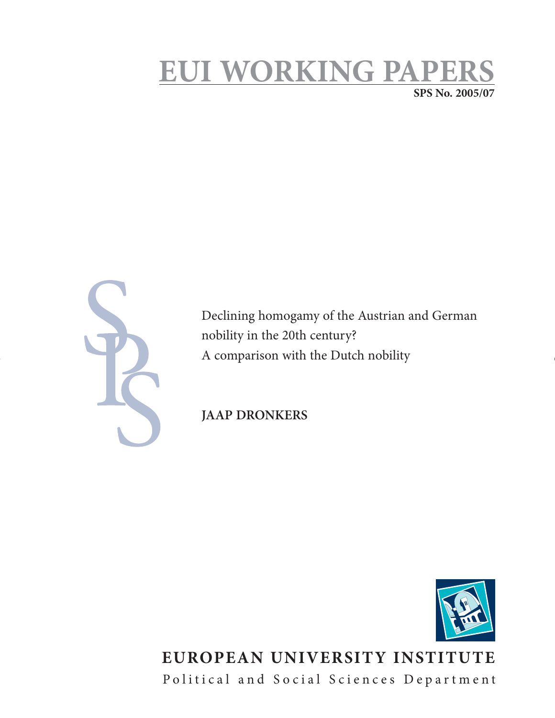# **EUI WORKING PAPERS SPS No. 2005/07**

Declining homogamy of the Austrian and German nobility in the 20th century? A comparison with the Dutch nobility

**JAAP DRONKERS** 



# **EUROPEAN UNIVERSITY INSTITUTE** Political and Social Sciences Department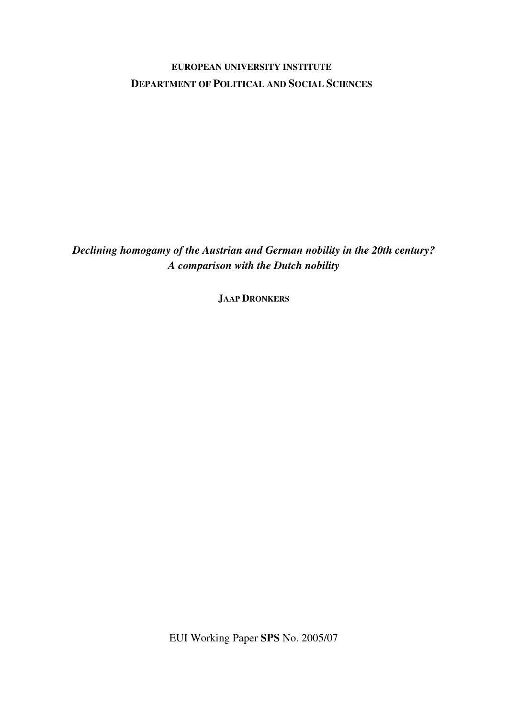## **EUROPEAN UNIVERSITY INSTITUTE DEPARTMENT OF POLITICAL AND SOCIAL SCIENCES**

*Declining homogamy of the Austrian and German nobility in the 20th century? A comparison with the Dutch nobility* 

**JAAP DRONKERS**

EUI Working Paper **SPS** No. 2005/07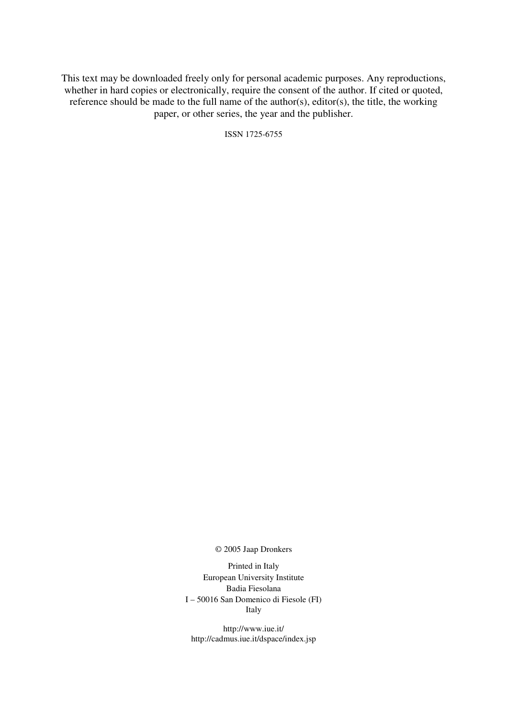This text may be downloaded freely only for personal academic purposes. Any reproductions, whether in hard copies or electronically, require the consent of the author. If cited or quoted, reference should be made to the full name of the author(s), editor(s), the title, the working paper, or other series, the year and the publisher.

ISSN 1725-6755

© 2005 Jaap Dronkers

Printed in Italy European University Institute Badia Fiesolana I – 50016 San Domenico di Fiesole (FI) Italy

http://www.iue.it/ http://cadmus.iue.it/dspace/index.jsp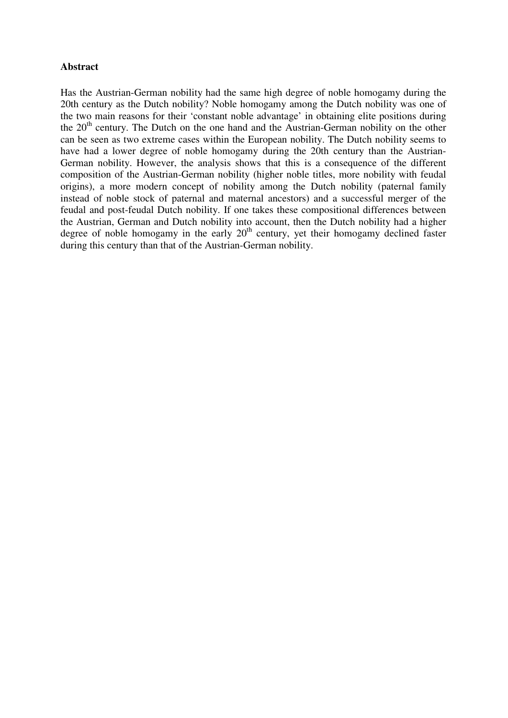## **Abstract**

Has the Austrian-German nobility had the same high degree of noble homogamy during the 20th century as the Dutch nobility? Noble homogamy among the Dutch nobility was one of the two main reasons for their 'constant noble advantage' in obtaining elite positions during the  $20<sup>th</sup>$  century. The Dutch on the one hand and the Austrian-German nobility on the other can be seen as two extreme cases within the European nobility. The Dutch nobility seems to have had a lower degree of noble homogamy during the 20th century than the Austrian-German nobility. However, the analysis shows that this is a consequence of the different composition of the Austrian-German nobility (higher noble titles, more nobility with feudal origins), a more modern concept of nobility among the Dutch nobility (paternal family instead of noble stock of paternal and maternal ancestors) and a successful merger of the feudal and post-feudal Dutch nobility. If one takes these compositional differences between the Austrian, German and Dutch nobility into account, then the Dutch nobility had a higher degree of noble homogamy in the early  $20<sup>th</sup>$  century, yet their homogamy declined faster during this century than that of the Austrian-German nobility.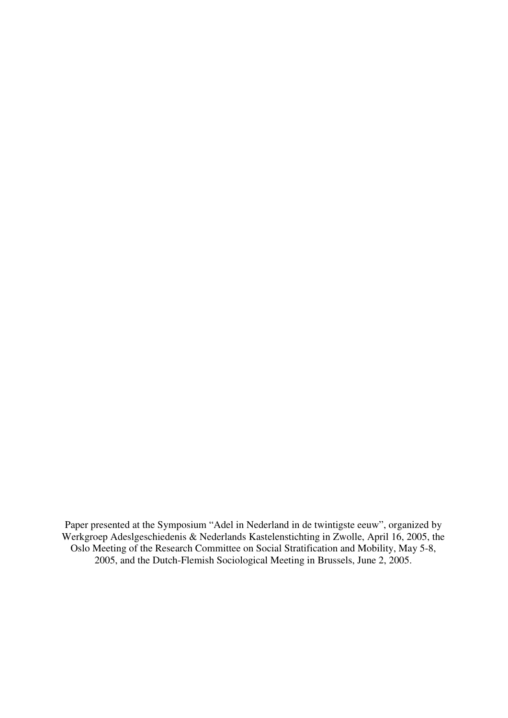Paper presented at the Symposium "Adel in Nederland in de twintigste eeuw", organized by Werkgroep Adeslgeschiedenis & Nederlands Kastelenstichting in Zwolle, April 16, 2005, the Oslo Meeting of the Research Committee on Social Stratification and Mobility, May 5-8, 2005, and the Dutch-Flemish Sociological Meeting in Brussels, June 2, 2005.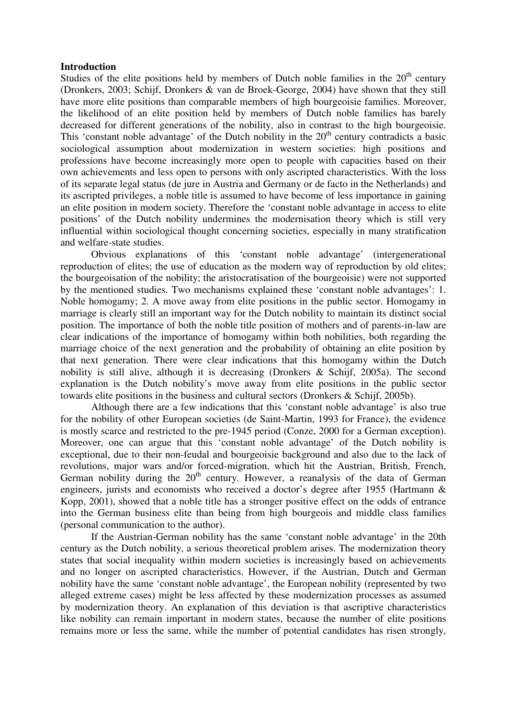#### **Introduction**

Studies of the elite positions held by members of Dutch noble families in the  $20<sup>th</sup>$  century (Dronkers, 2003; Schijf, Dronkers & van de Broek-George, 2004) have shown that they still have more elite positions than comparable members of high bourgeoisie families. Moreover, the likelihood of an elite position held by members of Dutch noble families has barely decreased for different generations of the nobility, also in contrast to the high bourgeoisie. This 'constant noble advantage' of the Dutch nobility in the  $20<sup>th</sup>$  century contradicts a basic sociological assumption about modernization in western societies: high positions and professions have become increasingly more open to people with capacities based on their own achievements and less open to persons with only ascripted characteristics. With the loss of its separate legal status (de jure in Austria and Germany or de facto in the Netherlands) and its ascripted privileges, a noble title is assumed to have become of less importance in gaining an elite position in modern society. Therefore the 'constant noble advantage in access to elite positions' of the Dutch nobility undermines the modernisation theory which is still very influential within sociological thought concerning societies, especially in many stratification and welfare-state studies.

Obvious explanations of this 'constant noble advantage' (intergenerational reproduction of elites; the use of education as the modern way of reproduction by old elites; the bourgeoisation of the nobility; the aristocratisation of the bourgeoisie) were not supported by the mentioned studies. Two mechanisms explained these 'constant noble advantages': 1. Noble homogamy; 2. A move away from elite positions in the public sector. Homogamy in marriage is clearly still an important way for the Dutch nobility to maintain its distinct social position. The importance of both the noble title position of mothers and of parents-in-law are clear indications of the importance of homogamy within both nobilities, both regarding the marriage choice of the next generation and the probability of obtaining an elite position by that next generation. There were clear indications that this homogamy within the Dutch nobility is still alive, although it is decreasing (Dronkers & Schijf, 2005a). The second explanation is the Dutch nobility's move away from elite positions in the public sector towards elite positions in the business and cultural sectors (Dronkers & Schijf, 2005b).

 Although there are a few indications that this 'constant noble advantage' is also true for the nobility of other European societies (de Saint-Martin, 1993 for France), the evidence is mostly scarce and restricted to the pre-1945 period (Conze, 2000 for a German exception). Moreover, one can argue that this 'constant noble advantage' of the Dutch nobility is exceptional, due to their non-feudal and bourgeoisie background and also due to the lack of revolutions, major wars and/or forced-migration, which hit the Austrian, British, French, German nobility during the  $20<sup>th</sup>$  century. However, a reanalysis of the data of German engineers, jurists and economists who received a doctor's degree after 1955 (Hartmann & Kopp, 2001), showed that a noble title has a stronger positive effect on the odds of entrance into the German business elite than being from high bourgeois and middle class families (personal communication to the author).

If the Austrian-German nobility has the same 'constant noble advantage' in the 20th century as the Dutch nobility, a serious theoretical problem arises. The modernization theory states that social inequality within modern societies is increasingly based on achievements and no longer on ascripted characteristics. However, if the Austrian, Dutch and German nobility have the same 'constant noble advantage', the European nobility (represented by two alleged extreme cases) might be less affected by these modernization processes as assumed by modernization theory. An explanation of this deviation is that ascriptive characteristics like nobility can remain important in modern states, because the number of elite positions remains more or less the same, while the number of potential candidates has risen strongly,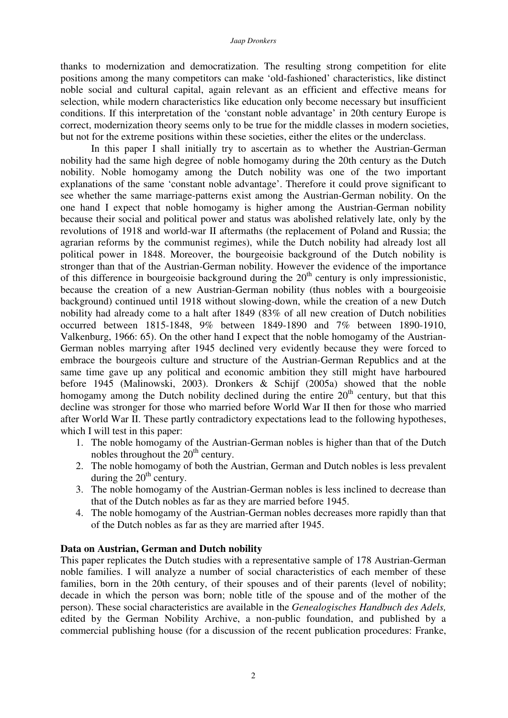#### *Jaap Dronkers*

thanks to modernization and democratization. The resulting strong competition for elite positions among the many competitors can make 'old-fashioned' characteristics, like distinct noble social and cultural capital, again relevant as an efficient and effective means for selection, while modern characteristics like education only become necessary but insufficient conditions. If this interpretation of the 'constant noble advantage' in 20th century Europe is correct, modernization theory seems only to be true for the middle classes in modern societies, but not for the extreme positions within these societies, either the elites or the underclass.

 In this paper I shall initially try to ascertain as to whether the Austrian-German nobility had the same high degree of noble homogamy during the 20th century as the Dutch nobility. Noble homogamy among the Dutch nobility was one of the two important explanations of the same 'constant noble advantage'. Therefore it could prove significant to see whether the same marriage-patterns exist among the Austrian-German nobility. On the one hand I expect that noble homogamy is higher among the Austrian-German nobility because their social and political power and status was abolished relatively late, only by the revolutions of 1918 and world-war II aftermaths (the replacement of Poland and Russia; the agrarian reforms by the communist regimes), while the Dutch nobility had already lost all political power in 1848. Moreover, the bourgeoisie background of the Dutch nobility is stronger than that of the Austrian-German nobility. However the evidence of the importance of this difference in bourgeoisie background during the  $20<sup>th</sup>$  century is only impressionistic, because the creation of a new Austrian-German nobility (thus nobles with a bourgeoisie background) continued until 1918 without slowing-down, while the creation of a new Dutch nobility had already come to a halt after 1849 (83% of all new creation of Dutch nobilities occurred between 1815-1848, 9% between 1849-1890 and 7% between 1890-1910, Valkenburg, 1966: 65). On the other hand I expect that the noble homogamy of the Austrian-German nobles marrying after 1945 declined very evidently because they were forced to embrace the bourgeois culture and structure of the Austrian-German Republics and at the same time gave up any political and economic ambition they still might have harboured before 1945 (Malinowski, 2003). Dronkers & Schijf (2005a) showed that the noble homogamy among the Dutch nobility declined during the entire  $20<sup>th</sup>$  century, but that this decline was stronger for those who married before World War II then for those who married after World War II. These partly contradictory expectations lead to the following hypotheses, which I will test in this paper:

- 1. The noble homogamy of the Austrian-German nobles is higher than that of the Dutch nobles throughout the  $20<sup>th</sup>$  century.
- 2. The noble homogamy of both the Austrian, German and Dutch nobles is less prevalent during the  $20<sup>th</sup>$  century.
- 3. The noble homogamy of the Austrian-German nobles is less inclined to decrease than that of the Dutch nobles as far as they are married before 1945.
- 4. The noble homogamy of the Austrian-German nobles decreases more rapidly than that of the Dutch nobles as far as they are married after 1945.

#### **Data on Austrian, German and Dutch nobility**

This paper replicates the Dutch studies with a representative sample of 178 Austrian-German noble families. I will analyze a number of social characteristics of each member of these families, born in the 20th century, of their spouses and of their parents (level of nobility; decade in which the person was born; noble title of the spouse and of the mother of the person). These social characteristics are available in the *Genealogisches Handbuch des Adels,*  edited by the German Nobility Archive, a non-public foundation, and published by a commercial publishing house (for a discussion of the recent publication procedures: Franke,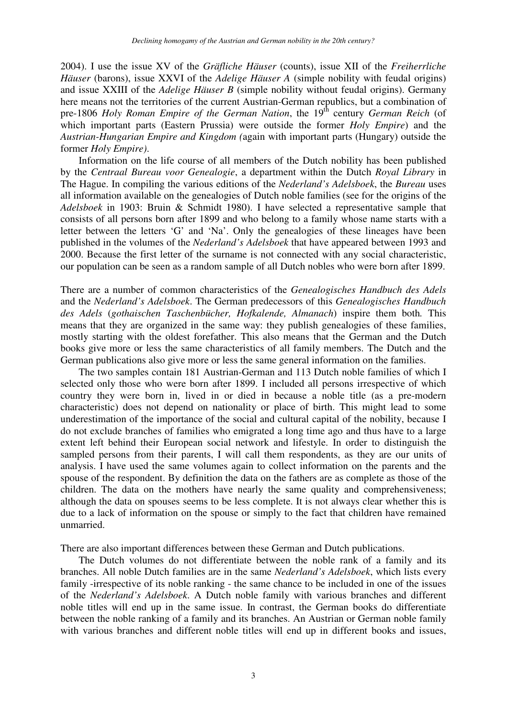2004). I use the issue XV of the *Gräfliche Häuser* (counts), issue XII of the *Freiherrliche Häuser* (barons), issue XXVI of the *Adelige Häuser A* (simple nobility with feudal origins) and issue XXIII of the *Adelige Häuser B* (simple nobility without feudal origins). Germany here means not the territories of the current Austrian-German republics, but a combination of pre-1806 *Holy Roman Empire of the German Nation*, the 19<sup>th</sup> century *German Reich* (of which important parts (Eastern Prussia) were outside the former *Holy Empire*) and the *Austrian-Hungarian Empire and Kingdom (*again with important parts (Hungary) outside the former *Holy Empire)*.

 Information on the life course of all members of the Dutch nobility has been published by the *Centraal Bureau voor Genealogie*, a department within the Dutch *Royal Library* in The Hague. In compiling the various editions of the *Nederland's Adelsboek*, the *Bureau* uses all information available on the genealogies of Dutch noble families (see for the origins of the *Adelsboek* in 1903: Bruin & Schmidt 1980). I have selected a representative sample that consists of all persons born after 1899 and who belong to a family whose name starts with a letter between the letters 'G' and 'Na'. Only the genealogies of these lineages have been published in the volumes of the *Nederland's Adelsboek* that have appeared between 1993 and 2000. Because the first letter of the surname is not connected with any social characteristic, our population can be seen as a random sample of all Dutch nobles who were born after 1899.

There are a number of common characteristics of the *Genealogisches Handbuch des Adels* and the *Nederland's Adelsboek*. The German predecessors of this *Genealogisches Handbuch des Adels* (*gothaischen Taschenbücher, Hofkalende, Almanach*) inspire them both*.* This means that they are organized in the same way: they publish genealogies of these families, mostly starting with the oldest forefather. This also means that the German and the Dutch books give more or less the same characteristics of all family members. The Dutch and the German publications also give more or less the same general information on the families.

 The two samples contain 181 Austrian-German and 113 Dutch noble families of which I selected only those who were born after 1899. I included all persons irrespective of which country they were born in, lived in or died in because a noble title (as a pre-modern characteristic) does not depend on nationality or place of birth. This might lead to some underestimation of the importance of the social and cultural capital of the nobility, because I do not exclude branches of families who emigrated a long time ago and thus have to a large extent left behind their European social network and lifestyle. In order to distinguish the sampled persons from their parents, I will call them respondents, as they are our units of analysis. I have used the same volumes again to collect information on the parents and the spouse of the respondent. By definition the data on the fathers are as complete as those of the children. The data on the mothers have nearly the same quality and comprehensiveness; although the data on spouses seems to be less complete. It is not always clear whether this is due to a lack of information on the spouse or simply to the fact that children have remained unmarried.

There are also important differences between these German and Dutch publications.

 The Dutch volumes do not differentiate between the noble rank of a family and its branches. All noble Dutch families are in the same *Nederland's Adelsboek*, which lists every family -irrespective of its noble ranking - the same chance to be included in one of the issues of the *Nederland's Adelsboek*. A Dutch noble family with various branches and different noble titles will end up in the same issue. In contrast, the German books do differentiate between the noble ranking of a family and its branches. An Austrian or German noble family with various branches and different noble titles will end up in different books and issues,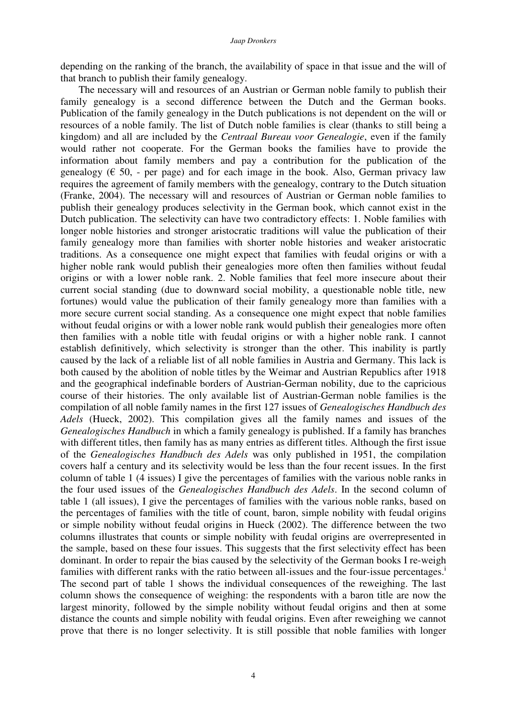depending on the ranking of the branch, the availability of space in that issue and the will of that branch to publish their family genealogy.

 The necessary will and resources of an Austrian or German noble family to publish their family genealogy is a second difference between the Dutch and the German books. Publication of the family genealogy in the Dutch publications is not dependent on the will or resources of a noble family. The list of Dutch noble families is clear (thanks to still being a kingdom) and all are included by the *Centraal Bureau voor Genealogie*, even if the family would rather not cooperate. For the German books the families have to provide the information about family members and pay a contribution for the publication of the genealogy ( $\epsilon$  50, - per page) and for each image in the book. Also, German privacy law requires the agreement of family members with the genealogy, contrary to the Dutch situation (Franke, 2004). The necessary will and resources of Austrian or German noble families to publish their genealogy produces selectivity in the German book, which cannot exist in the Dutch publication. The selectivity can have two contradictory effects: 1. Noble families with longer noble histories and stronger aristocratic traditions will value the publication of their family genealogy more than families with shorter noble histories and weaker aristocratic traditions. As a consequence one might expect that families with feudal origins or with a higher noble rank would publish their genealogies more often then families without feudal origins or with a lower noble rank. 2. Noble families that feel more insecure about their current social standing (due to downward social mobility, a questionable noble title, new fortunes) would value the publication of their family genealogy more than families with a more secure current social standing. As a consequence one might expect that noble families without feudal origins or with a lower noble rank would publish their genealogies more often then families with a noble title with feudal origins or with a higher noble rank. I cannot establish definitively, which selectivity is stronger than the other. This inability is partly caused by the lack of a reliable list of all noble families in Austria and Germany. This lack is both caused by the abolition of noble titles by the Weimar and Austrian Republics after 1918 and the geographical indefinable borders of Austrian-German nobility, due to the capricious course of their histories. The only available list of Austrian-German noble families is the compilation of all noble family names in the first 127 issues of *Genealogisches Handbuch des Adels* (Hueck, 2002). This compilation gives all the family names and issues of the *Genealogisches Handbuch* in which a family genealogy is published. If a family has branches with different titles, then family has as many entries as different titles. Although the first issue of the *Genealogisches Handbuch des Adels* was only published in 1951, the compilation covers half a century and its selectivity would be less than the four recent issues. In the first column of table 1 (4 issues) I give the percentages of families with the various noble ranks in the four used issues of the *Genealogisches Handbuch des Adels*. In the second column of table 1 (all issues), I give the percentages of families with the various noble ranks, based on the percentages of families with the title of count, baron, simple nobility with feudal origins or simple nobility without feudal origins in Hueck (2002). The difference between the two columns illustrates that counts or simple nobility with feudal origins are overrepresented in the sample, based on these four issues. This suggests that the first selectivity effect has been dominant. In order to repair the bias caused by the selectivity of the German books I re-weigh families with different ranks with the ratio between all-issues and the four-issue percentages.<sup>i</sup> The second part of table 1 shows the individual consequences of the reweighing. The last column shows the consequence of weighing: the respondents with a baron title are now the largest minority, followed by the simple nobility without feudal origins and then at some distance the counts and simple nobility with feudal origins. Even after reweighing we cannot prove that there is no longer selectivity. It is still possible that noble families with longer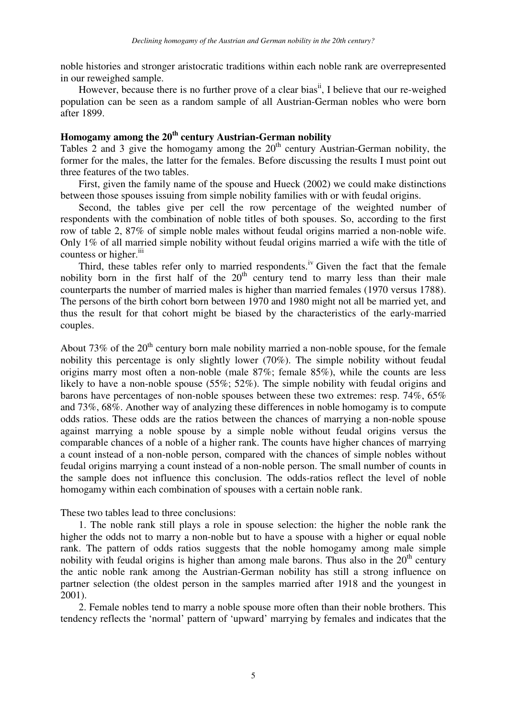noble histories and stronger aristocratic traditions within each noble rank are overrepresented in our reweighed sample.

However, because there is no further prove of a clear bias<sup>ii</sup>, I believe that our re-weighed population can be seen as a random sample of all Austrian-German nobles who were born after 1899.

## **Homogamy among the 20th century Austrian-German nobility**

Tables 2 and 3 give the homogamy among the  $20<sup>th</sup>$  century Austrian-German nobility, the former for the males, the latter for the females. Before discussing the results I must point out three features of the two tables.

 First, given the family name of the spouse and Hueck (2002) we could make distinctions between those spouses issuing from simple nobility families with or with feudal origins.

 Second, the tables give per cell the row percentage of the weighted number of respondents with the combination of noble titles of both spouses. So, according to the first row of table 2, 87% of simple noble males without feudal origins married a non-noble wife. Only 1% of all married simple nobility without feudal origins married a wife with the title of countess or higher. $\mathbf{u}$ 

Third, these tables refer only to married respondents.<sup>iv</sup> Given the fact that the female nobility born in the first half of the  $20<sup>th</sup>$  century tend to marry less than their male counterparts the number of married males is higher than married females (1970 versus 1788). The persons of the birth cohort born between 1970 and 1980 might not all be married yet, and thus the result for that cohort might be biased by the characteristics of the early-married couples.

About 73% of the  $20<sup>th</sup>$  century born male nobility married a non-noble spouse, for the female nobility this percentage is only slightly lower (70%). The simple nobility without feudal origins marry most often a non-noble (male 87%; female 85%), while the counts are less likely to have a non-noble spouse (55%; 52%). The simple nobility with feudal origins and barons have percentages of non-noble spouses between these two extremes: resp. 74%, 65% and 73%, 68%. Another way of analyzing these differences in noble homogamy is to compute odds ratios. These odds are the ratios between the chances of marrying a non-noble spouse against marrying a noble spouse by a simple noble without feudal origins versus the comparable chances of a noble of a higher rank. The counts have higher chances of marrying a count instead of a non-noble person, compared with the chances of simple nobles without feudal origins marrying a count instead of a non-noble person. The small number of counts in the sample does not influence this conclusion. The odds-ratios reflect the level of noble homogamy within each combination of spouses with a certain noble rank.

These two tables lead to three conclusions:

 1. The noble rank still plays a role in spouse selection: the higher the noble rank the higher the odds not to marry a non-noble but to have a spouse with a higher or equal noble rank. The pattern of odds ratios suggests that the noble homogamy among male simple nobility with feudal origins is higher than among male barons. Thus also in the  $20<sup>th</sup>$  century the antic noble rank among the Austrian-German nobility has still a strong influence on partner selection (the oldest person in the samples married after 1918 and the youngest in 2001).

 2. Female nobles tend to marry a noble spouse more often than their noble brothers. This tendency reflects the 'normal' pattern of 'upward' marrying by females and indicates that the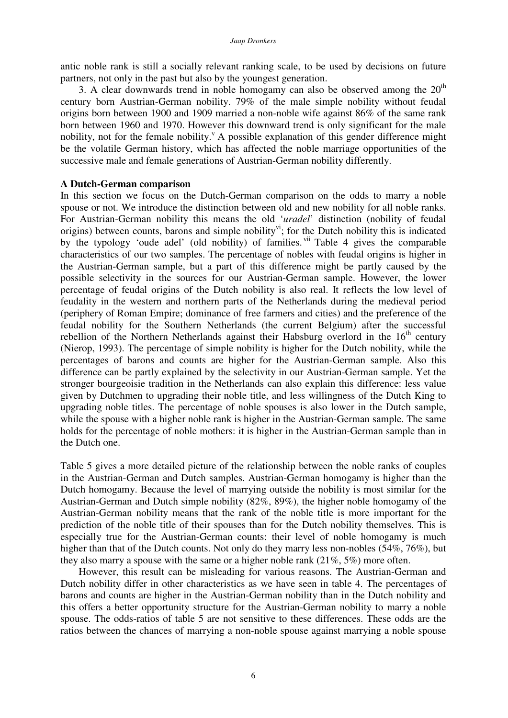antic noble rank is still a socially relevant ranking scale, to be used by decisions on future partners, not only in the past but also by the youngest generation.

3. A clear downwards trend in noble homogamy can also be observed among the  $20<sup>th</sup>$ century born Austrian-German nobility. 79% of the male simple nobility without feudal origins born between 1900 and 1909 married a non-noble wife against 86% of the same rank born between 1960 and 1970. However this downward trend is only significant for the male nobility, not for the female nobility. A possible explanation of this gender difference might be the volatile German history, which has affected the noble marriage opportunities of the successive male and female generations of Austrian-German nobility differently.

### **A Dutch-German comparison**

In this section we focus on the Dutch-German comparison on the odds to marry a noble spouse or not. We introduce the distinction between old and new nobility for all noble ranks. For Austrian-German nobility this means the old '*uradel*' distinction (nobility of feudal origins) between counts, barons and simple nobility<sup>vi</sup>; for the Dutch nobility this is indicated by the typology 'oude adel' (old nobility) of families.<sup>Vii</sup> Table 4 gives the comparable characteristics of our two samples. The percentage of nobles with feudal origins is higher in the Austrian-German sample, but a part of this difference might be partly caused by the possible selectivity in the sources for our Austrian-German sample. However, the lower percentage of feudal origins of the Dutch nobility is also real. It reflects the low level of feudality in the western and northern parts of the Netherlands during the medieval period (periphery of Roman Empire; dominance of free farmers and cities) and the preference of the feudal nobility for the Southern Netherlands (the current Belgium) after the successful rebellion of the Northern Netherlands against their Habsburg overlord in the  $16<sup>th</sup>$  century (Nierop, 1993). The percentage of simple nobility is higher for the Dutch nobility, while the percentages of barons and counts are higher for the Austrian-German sample. Also this difference can be partly explained by the selectivity in our Austrian-German sample. Yet the stronger bourgeoisie tradition in the Netherlands can also explain this difference: less value given by Dutchmen to upgrading their noble title, and less willingness of the Dutch King to upgrading noble titles. The percentage of noble spouses is also lower in the Dutch sample, while the spouse with a higher noble rank is higher in the Austrian-German sample. The same holds for the percentage of noble mothers: it is higher in the Austrian-German sample than in the Dutch one.

Table 5 gives a more detailed picture of the relationship between the noble ranks of couples in the Austrian-German and Dutch samples. Austrian-German homogamy is higher than the Dutch homogamy. Because the level of marrying outside the nobility is most similar for the Austrian-German and Dutch simple nobility (82%, 89%), the higher noble homogamy of the Austrian-German nobility means that the rank of the noble title is more important for the prediction of the noble title of their spouses than for the Dutch nobility themselves. This is especially true for the Austrian-German counts: their level of noble homogamy is much higher than that of the Dutch counts. Not only do they marry less non-nobles (54%, 76%), but they also marry a spouse with the same or a higher noble rank (21%, 5%) more often.

 However, this result can be misleading for various reasons. The Austrian-German and Dutch nobility differ in other characteristics as we have seen in table 4. The percentages of barons and counts are higher in the Austrian-German nobility than in the Dutch nobility and this offers a better opportunity structure for the Austrian-German nobility to marry a noble spouse. The odds-ratios of table 5 are not sensitive to these differences. These odds are the ratios between the chances of marrying a non-noble spouse against marrying a noble spouse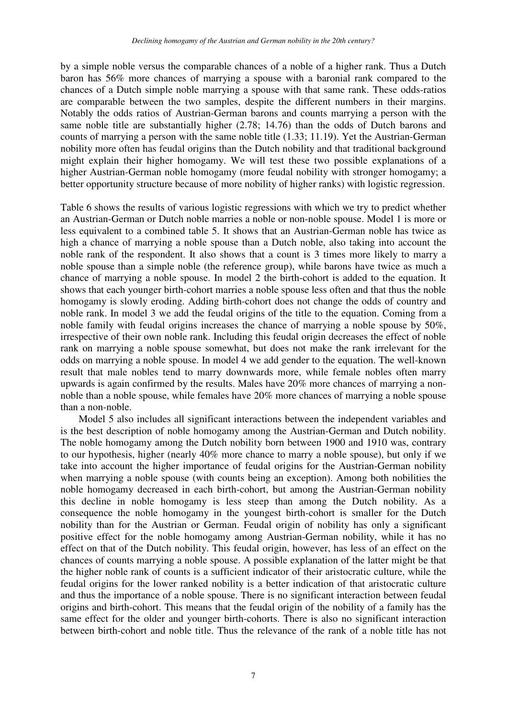by a simple noble versus the comparable chances of a noble of a higher rank. Thus a Dutch baron has 56% more chances of marrying a spouse with a baronial rank compared to the chances of a Dutch simple noble marrying a spouse with that same rank. These odds-ratios are comparable between the two samples, despite the different numbers in their margins. Notably the odds ratios of Austrian-German barons and counts marrying a person with the same noble title are substantially higher (2.78; 14.76) than the odds of Dutch barons and counts of marrying a person with the same noble title (1.33; 11.19). Yet the Austrian-German nobility more often has feudal origins than the Dutch nobility and that traditional background might explain their higher homogamy. We will test these two possible explanations of a higher Austrian-German noble homogamy (more feudal nobility with stronger homogamy; a better opportunity structure because of more nobility of higher ranks) with logistic regression.

Table 6 shows the results of various logistic regressions with which we try to predict whether an Austrian-German or Dutch noble marries a noble or non-noble spouse. Model 1 is more or less equivalent to a combined table 5. It shows that an Austrian-German noble has twice as high a chance of marrying a noble spouse than a Dutch noble, also taking into account the noble rank of the respondent. It also shows that a count is 3 times more likely to marry a noble spouse than a simple noble (the reference group), while barons have twice as much a chance of marrying a noble spouse. In model 2 the birth-cohort is added to the equation. It shows that each younger birth-cohort marries a noble spouse less often and that thus the noble homogamy is slowly eroding. Adding birth-cohort does not change the odds of country and noble rank. In model 3 we add the feudal origins of the title to the equation. Coming from a noble family with feudal origins increases the chance of marrying a noble spouse by 50%, irrespective of their own noble rank. Including this feudal origin decreases the effect of noble rank on marrying a noble spouse somewhat, but does not make the rank irrelevant for the odds on marrying a noble spouse. In model 4 we add gender to the equation. The well-known result that male nobles tend to marry downwards more, while female nobles often marry upwards is again confirmed by the results. Males have 20% more chances of marrying a nonnoble than a noble spouse, while females have 20% more chances of marrying a noble spouse than a non-noble.

 Model 5 also includes all significant interactions between the independent variables and is the best description of noble homogamy among the Austrian-German and Dutch nobility. The noble homogamy among the Dutch nobility born between 1900 and 1910 was, contrary to our hypothesis, higher (nearly 40% more chance to marry a noble spouse), but only if we take into account the higher importance of feudal origins for the Austrian-German nobility when marrying a noble spouse (with counts being an exception). Among both nobilities the noble homogamy decreased in each birth-cohort, but among the Austrian-German nobility this decline in noble homogamy is less steep than among the Dutch nobility. As a consequence the noble homogamy in the youngest birth-cohort is smaller for the Dutch nobility than for the Austrian or German. Feudal origin of nobility has only a significant positive effect for the noble homogamy among Austrian-German nobility, while it has no effect on that of the Dutch nobility. This feudal origin, however, has less of an effect on the chances of counts marrying a noble spouse. A possible explanation of the latter might be that the higher noble rank of counts is a sufficient indicator of their aristocratic culture, while the feudal origins for the lower ranked nobility is a better indication of that aristocratic culture and thus the importance of a noble spouse. There is no significant interaction between feudal origins and birth-cohort. This means that the feudal origin of the nobility of a family has the same effect for the older and younger birth-cohorts. There is also no significant interaction between birth-cohort and noble title. Thus the relevance of the rank of a noble title has not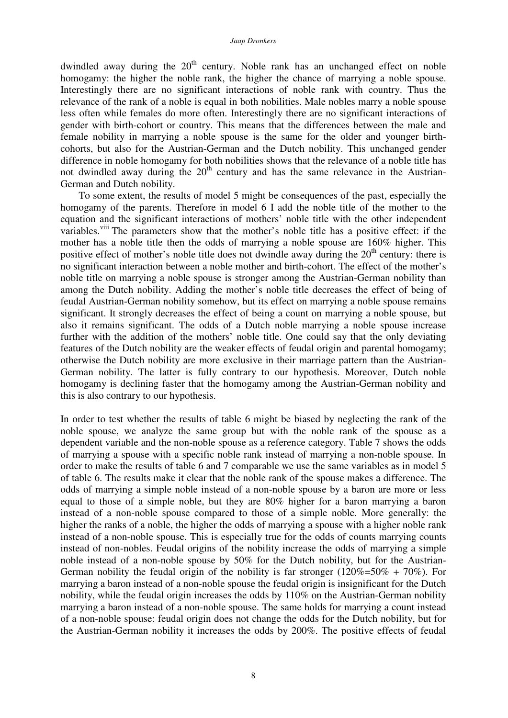#### *Jaap Dronkers*

dwindled away during the  $20<sup>th</sup>$  century. Noble rank has an unchanged effect on noble homogamy: the higher the noble rank, the higher the chance of marrying a noble spouse. Interestingly there are no significant interactions of noble rank with country. Thus the relevance of the rank of a noble is equal in both nobilities. Male nobles marry a noble spouse less often while females do more often. Interestingly there are no significant interactions of gender with birth-cohort or country. This means that the differences between the male and female nobility in marrying a noble spouse is the same for the older and younger birthcohorts, but also for the Austrian-German and the Dutch nobility. This unchanged gender difference in noble homogamy for both nobilities shows that the relevance of a noble title has not dwindled away during the  $20<sup>th</sup>$  century and has the same relevance in the Austrian-German and Dutch nobility.

 To some extent, the results of model 5 might be consequences of the past, especially the homogamy of the parents. Therefore in model 6 I add the noble title of the mother to the equation and the significant interactions of mothers' noble title with the other independent variables.<sup>viii</sup> The parameters show that the mother's noble title has a positive effect: if the mother has a noble title then the odds of marrying a noble spouse are 160% higher. This positive effect of mother's noble title does not dwindle away during the  $20<sup>th</sup>$  century: there is no significant interaction between a noble mother and birth-cohort. The effect of the mother's noble title on marrying a noble spouse is stronger among the Austrian-German nobility than among the Dutch nobility. Adding the mother's noble title decreases the effect of being of feudal Austrian-German nobility somehow, but its effect on marrying a noble spouse remains significant. It strongly decreases the effect of being a count on marrying a noble spouse, but also it remains significant. The odds of a Dutch noble marrying a noble spouse increase further with the addition of the mothers' noble title. One could say that the only deviating features of the Dutch nobility are the weaker effects of feudal origin and parental homogamy; otherwise the Dutch nobility are more exclusive in their marriage pattern than the Austrian-German nobility. The latter is fully contrary to our hypothesis. Moreover, Dutch noble homogamy is declining faster that the homogamy among the Austrian-German nobility and this is also contrary to our hypothesis.

In order to test whether the results of table 6 might be biased by neglecting the rank of the noble spouse, we analyze the same group but with the noble rank of the spouse as a dependent variable and the non-noble spouse as a reference category. Table 7 shows the odds of marrying a spouse with a specific noble rank instead of marrying a non-noble spouse. In order to make the results of table 6 and 7 comparable we use the same variables as in model 5 of table 6. The results make it clear that the noble rank of the spouse makes a difference. The odds of marrying a simple noble instead of a non-noble spouse by a baron are more or less equal to those of a simple noble, but they are 80% higher for a baron marrying a baron instead of a non-noble spouse compared to those of a simple noble. More generally: the higher the ranks of a noble, the higher the odds of marrying a spouse with a higher noble rank instead of a non-noble spouse. This is especially true for the odds of counts marrying counts instead of non-nobles. Feudal origins of the nobility increase the odds of marrying a simple noble instead of a non-noble spouse by 50% for the Dutch nobility, but for the Austrian-German nobility the feudal origin of the nobility is far stronger  $(120\% = 50\% + 70\%)$ . For marrying a baron instead of a non-noble spouse the feudal origin is insignificant for the Dutch nobility, while the feudal origin increases the odds by 110% on the Austrian-German nobility marrying a baron instead of a non-noble spouse. The same holds for marrying a count instead of a non-noble spouse: feudal origin does not change the odds for the Dutch nobility, but for the Austrian-German nobility it increases the odds by 200%. The positive effects of feudal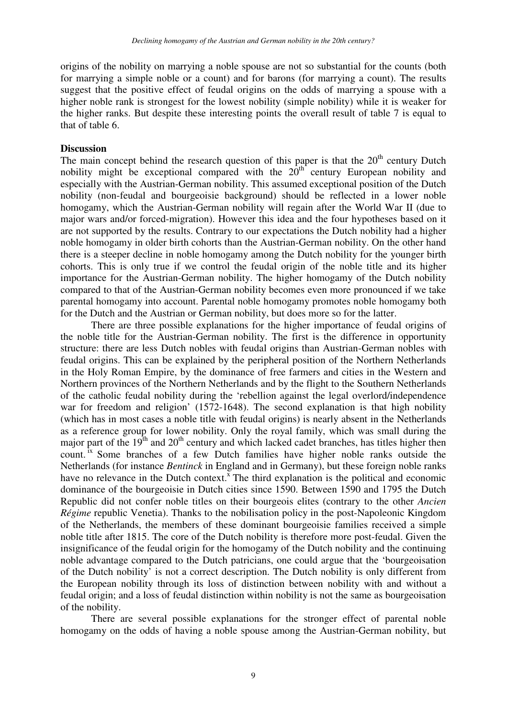origins of the nobility on marrying a noble spouse are not so substantial for the counts (both for marrying a simple noble or a count) and for barons (for marrying a count). The results suggest that the positive effect of feudal origins on the odds of marrying a spouse with a higher noble rank is strongest for the lowest nobility (simple nobility) while it is weaker for the higher ranks. But despite these interesting points the overall result of table 7 is equal to that of table 6.

## **Discussion**

The main concept behind the research question of this paper is that the  $20<sup>th</sup>$  century Dutch nobility might be exceptional compared with the  $20<sup>th</sup>$  century European nobility and especially with the Austrian-German nobility. This assumed exceptional position of the Dutch nobility (non-feudal and bourgeoisie background) should be reflected in a lower noble homogamy, which the Austrian-German nobility will regain after the World War II (due to major wars and/or forced-migration). However this idea and the four hypotheses based on it are not supported by the results. Contrary to our expectations the Dutch nobility had a higher noble homogamy in older birth cohorts than the Austrian-German nobility. On the other hand there is a steeper decline in noble homogamy among the Dutch nobility for the younger birth cohorts. This is only true if we control the feudal origin of the noble title and its higher importance for the Austrian-German nobility. The higher homogamy of the Dutch nobility compared to that of the Austrian-German nobility becomes even more pronounced if we take parental homogamy into account. Parental noble homogamy promotes noble homogamy both for the Dutch and the Austrian or German nobility, but does more so for the latter.

 There are three possible explanations for the higher importance of feudal origins of the noble title for the Austrian-German nobility. The first is the difference in opportunity structure: there are less Dutch nobles with feudal origins than Austrian-German nobles with feudal origins. This can be explained by the peripheral position of the Northern Netherlands in the Holy Roman Empire, by the dominance of free farmers and cities in the Western and Northern provinces of the Northern Netherlands and by the flight to the Southern Netherlands of the catholic feudal nobility during the 'rebellion against the legal overlord/independence war for freedom and religion' (1572-1648). The second explanation is that high nobility (which has in most cases a noble title with feudal origins) is nearly absent in the Netherlands as a reference group for lower nobility. Only the royal family, which was small during the major part of the 19<sup>th</sup> and 20<sup>th</sup> century and which lacked cadet branches, has titles higher then count. <sup>ix</sup> Some branches of a few Dutch families have higher noble ranks outside the Netherlands (for instance *Bentinck* in England and in Germany), but these foreign noble ranks have no relevance in the Dutch context.<sup> $\bar{x}$ </sup> The third explanation is the political and economic dominance of the bourgeoisie in Dutch cities since 1590. Between 1590 and 1795 the Dutch Republic did not confer noble titles on their bourgeois elites (contrary to the other *Ancien Régime* republic Venetia). Thanks to the nobilisation policy in the post-Napoleonic Kingdom of the Netherlands, the members of these dominant bourgeoisie families received a simple noble title after 1815. The core of the Dutch nobility is therefore more post-feudal. Given the insignificance of the feudal origin for the homogamy of the Dutch nobility and the continuing noble advantage compared to the Dutch patricians, one could argue that the 'bourgeoisation of the Dutch nobility' is not a correct description. The Dutch nobility is only different from the European nobility through its loss of distinction between nobility with and without a feudal origin; and a loss of feudal distinction within nobility is not the same as bourgeoisation of the nobility.

 There are several possible explanations for the stronger effect of parental noble homogamy on the odds of having a noble spouse among the Austrian-German nobility, but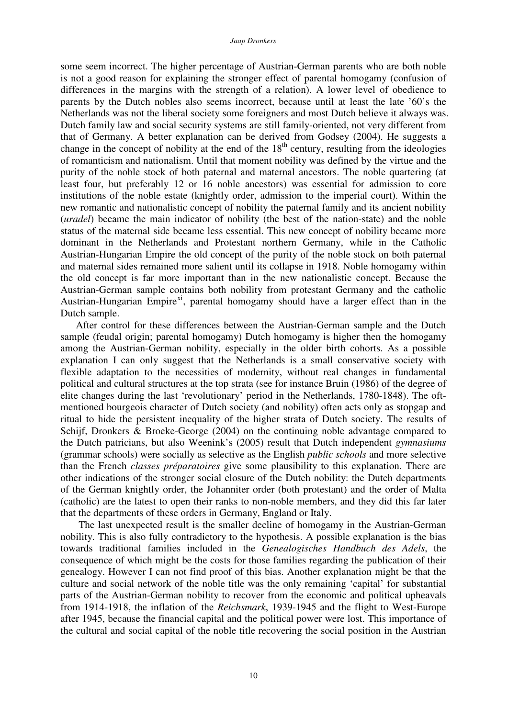some seem incorrect. The higher percentage of Austrian-German parents who are both noble is not a good reason for explaining the stronger effect of parental homogamy (confusion of differences in the margins with the strength of a relation). A lower level of obedience to parents by the Dutch nobles also seems incorrect, because until at least the late '60's the Netherlands was not the liberal society some foreigners and most Dutch believe it always was. Dutch family law and social security systems are still family-oriented, not very different from that of Germany. A better explanation can be derived from Godsey (2004). He suggests a change in the concept of nobility at the end of the  $18<sup>th</sup>$  century, resulting from the ideologies of romanticism and nationalism. Until that moment nobility was defined by the virtue and the purity of the noble stock of both paternal and maternal ancestors. The noble quartering (at least four, but preferably 12 or 16 noble ancestors) was essential for admission to core institutions of the noble estate (knightly order, admission to the imperial court). Within the new romantic and nationalistic concept of nobility the paternal family and its ancient nobility (*uradel*) became the main indicator of nobility (the best of the nation-state) and the noble status of the maternal side became less essential. This new concept of nobility became more dominant in the Netherlands and Protestant northern Germany, while in the Catholic Austrian-Hungarian Empire the old concept of the purity of the noble stock on both paternal and maternal sides remained more salient until its collapse in 1918. Noble homogamy within the old concept is far more important than in the new nationalistic concept. Because the Austrian-German sample contains both nobility from protestant Germany and the catholic Austrian-Hungarian Empire<sup>xi</sup>, parental homogamy should have a larger effect than in the Dutch sample.

After control for these differences between the Austrian-German sample and the Dutch sample (feudal origin; parental homogamy) Dutch homogamy is higher then the homogamy among the Austrian-German nobility, especially in the older birth cohorts. As a possible explanation I can only suggest that the Netherlands is a small conservative society with flexible adaptation to the necessities of modernity, without real changes in fundamental political and cultural structures at the top strata (see for instance Bruin (1986) of the degree of elite changes during the last 'revolutionary' period in the Netherlands, 1780-1848). The oftmentioned bourgeois character of Dutch society (and nobility) often acts only as stopgap and ritual to hide the persistent inequality of the higher strata of Dutch society. The results of Schijf, Dronkers & Broeke-George (2004) on the continuing noble advantage compared to the Dutch patricians, but also Weenink's (2005) result that Dutch independent *gymnasiums* (grammar schools) were socially as selective as the English *public schools* and more selective than the French *classes préparatoires* give some plausibility to this explanation. There are other indications of the stronger social closure of the Dutch nobility: the Dutch departments of the German knightly order, the Johanniter order (both protestant) and the order of Malta (catholic) are the latest to open their ranks to non-noble members, and they did this far later that the departments of these orders in Germany, England or Italy.

 The last unexpected result is the smaller decline of homogamy in the Austrian-German nobility. This is also fully contradictory to the hypothesis. A possible explanation is the bias towards traditional families included in the *Genealogisches Handbuch des Adels*, the consequence of which might be the costs for those families regarding the publication of their genealogy. However I can not find proof of this bias. Another explanation might be that the culture and social network of the noble title was the only remaining 'capital' for substantial parts of the Austrian-German nobility to recover from the economic and political upheavals from 1914-1918, the inflation of the *Reichsmark*, 1939-1945 and the flight to West-Europe after 1945, because the financial capital and the political power were lost. This importance of the cultural and social capital of the noble title recovering the social position in the Austrian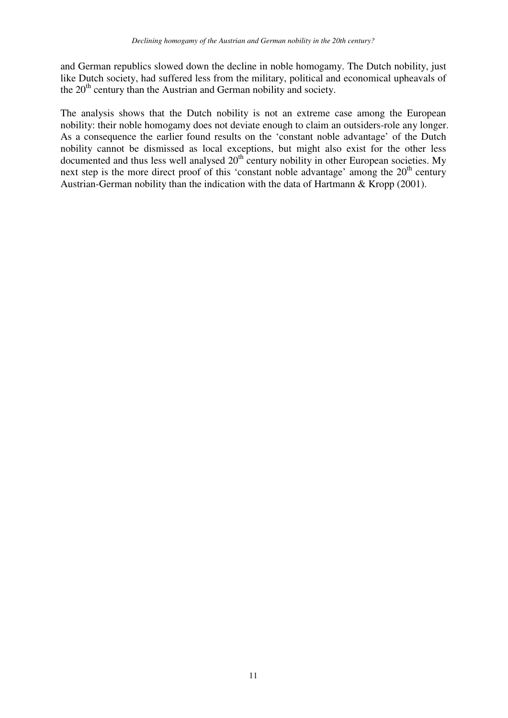and German republics slowed down the decline in noble homogamy. The Dutch nobility, just like Dutch society, had suffered less from the military, political and economical upheavals of the 20<sup>th</sup> century than the Austrian and German nobility and society.

The analysis shows that the Dutch nobility is not an extreme case among the European nobility: their noble homogamy does not deviate enough to claim an outsiders-role any longer. As a consequence the earlier found results on the 'constant noble advantage' of the Dutch nobility cannot be dismissed as local exceptions, but might also exist for the other less documented and thus less well analysed  $20<sup>th</sup>$  century nobility in other European societies. My next step is the more direct proof of this 'constant noble advantage' among the  $20<sup>th</sup>$  century Austrian-German nobility than the indication with the data of Hartmann & Kropp (2001).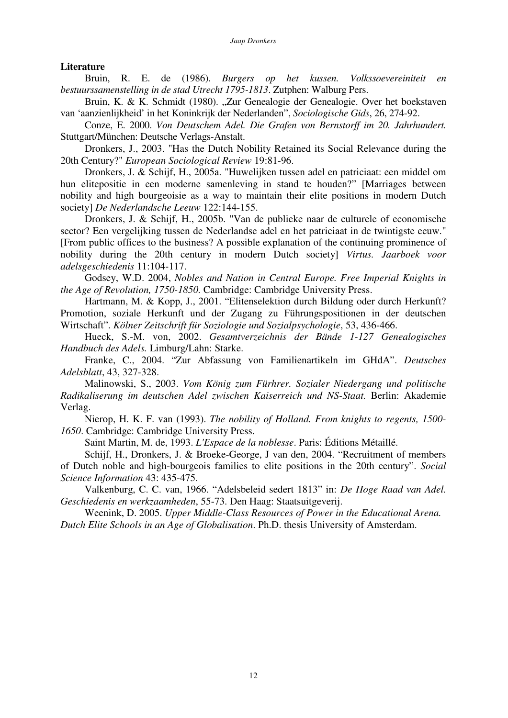### **Literature**

 Bruin, R. E. de (1986). *Burgers op het kussen. Volkssoevereiniteit en bestuurssamenstelling in de stad Utrecht 1795-1813*. Zutphen: Walburg Pers.

Bruin, K. & K. Schmidt (1980). "Zur Genealogie der Genealogie. Over het boekstaven van 'aanzienlijkheid' in het Koninkrijk der Nederlanden", *Sociologische Gids*, 26, 274-92.

 Conze, E. 2000. *Von Deutschem Adel. Die Grafen von Bernstorff im 20. Jahrhundert.*  Stuttgart/München: Deutsche Verlags-Anstalt.

 Dronkers, J., 2003. "Has the Dutch Nobility Retained its Social Relevance during the 20th Century?" *European Sociological Review* 19:81-96.

 Dronkers, J. & Schijf, H., 2005a. "Huwelijken tussen adel en patriciaat: een middel om hun elitepositie in een moderne samenleving in stand te houden?" [Marriages between nobility and high bourgeoisie as a way to maintain their elite positions in modern Dutch society] *De Nederlandsche Leeuw* 122:144-155.

 Dronkers, J. & Schijf, H., 2005b. "Van de publieke naar de culturele of economische sector? Een vergelijking tussen de Nederlandse adel en het patriciaat in de twintigste eeuw." [From public offices to the business? A possible explanation of the continuing prominence of nobility during the 20th century in modern Dutch society] *Virtus. Jaarboek voor adelsgeschiedenis* 11:104-117.

 Godsey, W.D. 2004, *Nobles and Nation in Central Europe. Free Imperial Knights in the Age of Revolution, 1750-1850.* Cambridge: Cambridge University Press.

 Hartmann, M. & Kopp, J., 2001. "Elitenselektion durch Bildung oder durch Herkunft? Promotion, soziale Herkunft und der Zugang zu Führungspositionen in der deutschen Wirtschaft". *Kölner Zeitschrift für Soziologie und Sozialpsychologie*, 53, 436-466.

 Hueck, S.-M. von, 2002. *Gesamtverzeichnis der Bände 1-127 Genealogisches Handbuch des Adels.* Limburg/Lahn: Starke.

 Franke, C., 2004. "Zur Abfassung von Familienartikeln im GHdA". *Deutsches Adelsblatt*, 43, 327-328.

 Malinowski, S., 2003. *Vom König zum Fürhrer. Sozialer Niedergang und politische Radikaliserung im deutschen Adel zwischen Kaiserreich und NS-Staat.* Berlin: Akademie Verlag.

 Nierop, H. K. F. van (1993). *The nobility of Holland. From knights to regents, 1500- 1650*. Cambridge: Cambridge University Press.

Saint Martin, M. de, 1993. *L'Espace de la noblesse*. Paris: Éditions Métaillé.

 Schijf, H., Dronkers, J. & Broeke-George, J van den, 2004. "Recruitment of members of Dutch noble and high-bourgeois families to elite positions in the 20th century". *Social Science Information* 43: 435-475.

 Valkenburg, C. C. van, 1966. "Adelsbeleid sedert 1813" in: *De Hoge Raad van Adel. Geschiedenis en werkzaamheden*, 55-73. Den Haag: Staatsuitgeverij.

 Weenink, D. 2005. *Upper Middle-Class Resources of Power in the Educational Arena. Dutch Elite Schools in an Age of Globalisation*. Ph.D. thesis University of Amsterdam.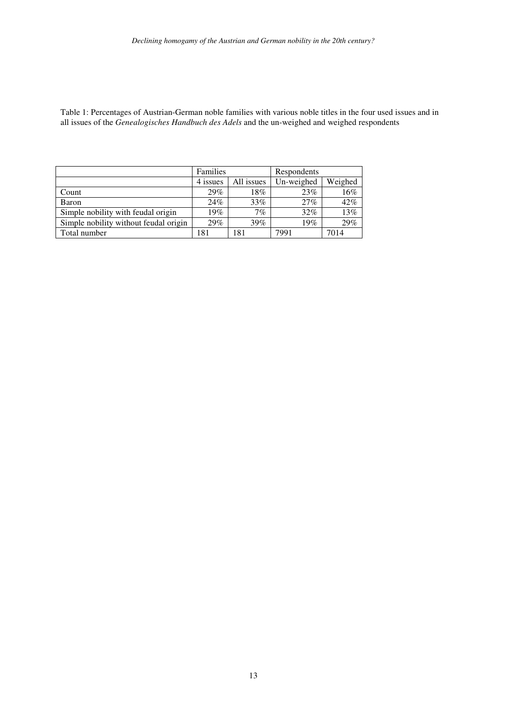Table 1: Percentages of Austrian-German noble families with various noble titles in the four used issues and in all issues of the *Genealogisches Handbuch des Adels* and the un-weighed and weighed respondents

|                                       | Families |            | Respondents |         |  |
|---------------------------------------|----------|------------|-------------|---------|--|
|                                       | 4 issues | All issues | Un-weighed  | Weighed |  |
| Count                                 | 29%      | 18%        | 23%         | 16%     |  |
| Baron                                 | 24%      | 33%        | 27%         | 42%     |  |
| Simple nobility with feudal origin    | 19%      | 7%         | 32%         | 13%     |  |
| Simple nobility without feudal origin | 29%      | 39%        | 19%         | 29%     |  |
| Total number                          | 181      | 181        | 7991        | 7014    |  |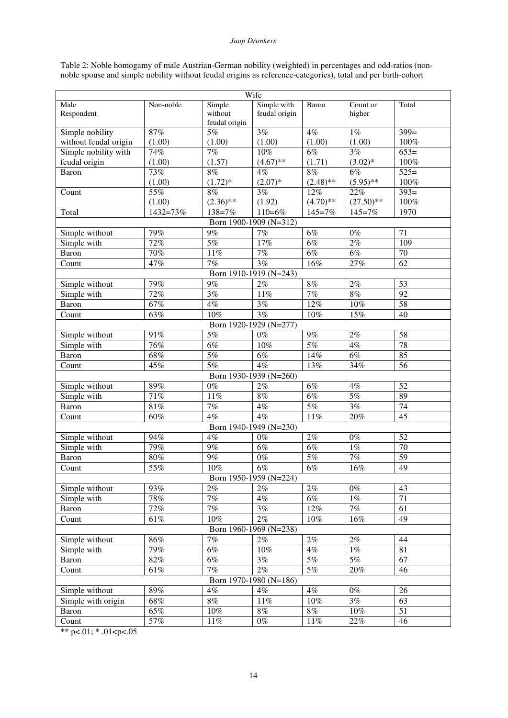#### *Jaap Dronkers*

|  | Table 2: Noble homogamy of male Austrian-German nobility (weighted) in percentages and odd-ratios (non-      |  |  |  |
|--|--------------------------------------------------------------------------------------------------------------|--|--|--|
|  | noble spouse and simple nobility without feudal origins as reference-categories), total and per birth-cohort |  |  |  |

| Wife                                                            |               |                           |                                 |                           |                |                 |
|-----------------------------------------------------------------|---------------|---------------------------|---------------------------------|---------------------------|----------------|-----------------|
| Male                                                            | Non-noble     | Simple                    | Simple with                     | Baron                     | Count or       | Total           |
| Respondent                                                      |               | without                   | feudal origin                   |                           | higher         |                 |
|                                                                 |               | feudal origin             |                                 |                           |                |                 |
| Simple nobility                                                 | $87\%$        | 5%                        | 3%                              | 4%                        | $1\%$          | $399=$          |
| without feudal origin                                           | (1.00)        | (1.00)                    | (1.00)                          | (1.00)                    | (1.00)         | 100%            |
| Simple nobility with                                            | 74%           | 7%                        | 10%                             | 6%                        | 3%             | $653=$          |
| feudal origin                                                   | (1.00)        | (1.57)                    | $(4.67)$ **                     | (1.71)                    | $(3.02)^*$     | 100%            |
| Baron                                                           | 73%           | 8%                        | $4\%$                           | 8%                        | 6%             | $525=$          |
|                                                                 | (1.00)        | $(1.72)^*$                | $(2.07)^*$                      | $(2.48)$ **               | $(5.95)$ **    | 100%            |
| Count                                                           | 55%           | 8%                        | 3%                              | 12%                       | 22%            | $393=$          |
|                                                                 | (1.00)        | $(2.36)$ **<br>$138 = 7%$ | (1.92)<br>$110=6%$              | $(4.70)$ **               | $(27.50)$ **   | 100%            |
| Total                                                           | 1432=73%      |                           |                                 | $145 = 7%$                | $145 = 7%$     | 1970            |
|                                                                 |               | 9%                        | Born 1900-1909 (N=312)          |                           |                |                 |
| Simple without                                                  | 79%           | 5%                        | 7%<br>17%                       | $6\%$                     | $0\%$          | 71              |
| Simple with                                                     | 72%           |                           |                                 | $6\%$                     | $2\%$          | 109             |
| Baron                                                           | 70%           | $11\%$<br>7%              | 7%<br>$\overline{3\%}$          | $6\%$                     | $6\%$          | 70<br>62        |
| Count                                                           | 47%           |                           |                                 | 16%                       | 27%            |                 |
|                                                                 |               | 9%                        | Born 1910-1919 (N=243)          |                           |                |                 |
| Simple without                                                  | 79%<br>72%    | 3%                        | $2\%$<br>11%                    | $8\%$<br>7%               | $2\%$<br>$8\%$ | 53              |
| Simple with                                                     |               | $4\%$                     | 3%                              |                           |                | 92<br>58        |
| Baron                                                           | 67%           | 10%                       | 3%                              | $12\%$                    | $10\%$         |                 |
| Count                                                           | 63%           |                           |                                 | $10\%$                    | 15%            | 40              |
|                                                                 |               | $\overline{5\%}$          | Born 1920-1929 (N=277)<br>$0\%$ |                           |                |                 |
| Simple without                                                  | 91%<br>76%    | $\overline{6\%}$          | 10%                             | $9\%$<br>$\overline{5\%}$ | $2\%$<br>$4\%$ | 58<br>78        |
| Simple with                                                     |               | $\overline{5\%}$          | $6\%$                           |                           | $6\%$          | 85              |
| Baron                                                           | $68\%$<br>45% | $\overline{5\%}$          | 4%                              | $14\%$<br>13%             |                | 56              |
| Count                                                           |               |                           | Born 1930-1939 (N=260)          |                           | 34%            |                 |
|                                                                 | $89\%$        | $0\%$                     | $2\%$                           | $6\%$                     | $4\%$          | 52              |
| Simple without<br>Simple with                                   | 71%           | $11\%$                    | $8\%$                           | $6\%$                     | 5%             | 89              |
| Baron                                                           | 81%           | $7\%$                     | $4\%$                           | 5%                        | 3%             | 74              |
| Count                                                           | 60%           | 4%                        | 4%                              | 11%                       | 20%            | 45              |
|                                                                 |               |                           | Born 1940-1949 (N=230)          |                           |                |                 |
| Simple without                                                  | 94%           | $4\%$                     | $0\%$                           | $2\%$                     | $0\%$          | 52              |
| Simple with                                                     | 79%           | 9%                        | $6\%$                           | $6\%$                     | $1\%$          | $\overline{70}$ |
| Baron                                                           | $80\%$        | 9%                        | $0\%$                           | $\overline{5\%}$          | 7%             | 59              |
| Count                                                           | 55%           | $10\%$                    | $\overline{6\%}$                | $\overline{6\%}$          | 16%            | 49              |
|                                                                 |               |                           | Born 1950-1959 (N=224)          |                           |                |                 |
| Simple without                                                  | 93%           | 2%                        | $2\%$                           | 2%                        | $0\%$          | 43              |
| Simple with                                                     | 78%           | 7%                        | $4\%$                           | $6\%$                     | $1\%$          | $\overline{71}$ |
| Baron                                                           | $72\%$        | 7%                        | 3%                              | $12\%$                    | $7\%$          | 61              |
| Count                                                           | $61\%$        | $10\%$                    | $2\%$                           | $10\%$                    | $16\%$         | 49              |
| Born 1960-1969 (N=238)                                          |               |                           |                                 |                           |                |                 |
| $7\%$<br>2%<br>$2\%$<br>$2\%$<br>$86\%$<br>44<br>Simple without |               |                           |                                 |                           |                |                 |
| Simple with                                                     | 79%           | $6\%$                     | $10\%$                          | $4\%$                     | $1\%$          | 81              |
| Baron                                                           | $82\%$        | $6\%$                     | $3\%$                           | $5\%$                     | $5\%$          | 67              |
| Count                                                           | $61\%$        | $7\%$                     | $2\%$                           | 5%                        | $20\%$         | 46              |
|                                                                 |               |                           | Born 1970-1980 (N=186)          |                           |                |                 |
| Simple without                                                  | $89\%$        | $4\%$                     | $4\%$                           | 4%                        | $0\%$          | $\overline{26}$ |
| Simple with origin                                              | $68\%$        | $8\%$                     | $11\%$                          | $10\%$                    | $3\%$          | 63              |
| Baron                                                           | 65%           | 10%                       | $8\%$                           | $8\%$                     | $10\%$         | $\overline{51}$ |
| Count                                                           | $57\%$        | $11\%$                    | $0\%$                           | $11\%$                    | $22\%$         | 46              |
|                                                                 |               |                           |                                 |                           |                |                 |

\*\* p<.01;  $*$  .01 < p < .05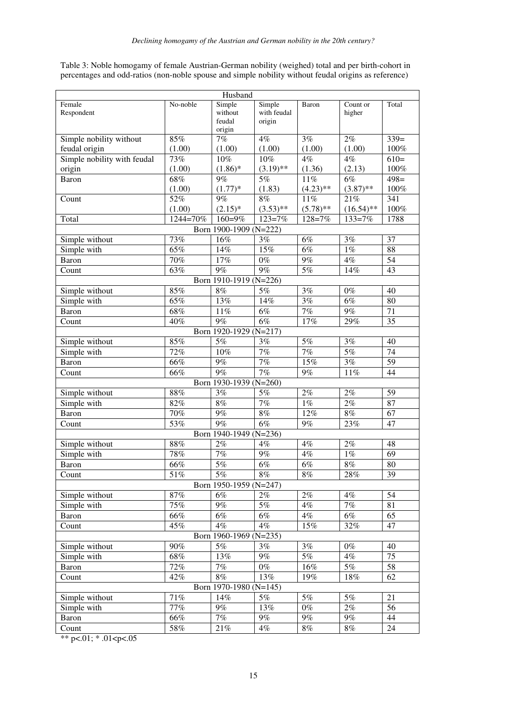Table 3: Noble homogamy of female Austrian-German nobility (weighed) total and per birth-cohort in percentages and odd-ratios (non-noble spouse and simple nobility without feudal origins as reference)

| Husband                     |          |                        |             |                  |                  |                 |  |
|-----------------------------|----------|------------------------|-------------|------------------|------------------|-----------------|--|
| Female                      | No-noble | Simple                 | Simple      | Baron            | Count or         | Total           |  |
| Respondent                  |          | without                | with feudal |                  | higher           |                 |  |
|                             |          | feudal                 | origin      |                  |                  |                 |  |
|                             |          | origin                 |             |                  |                  |                 |  |
| Simple nobility without     | 85%      | $7\%$                  | 4%          | 3%               | 2%               | $339=$          |  |
| feudal origin               | (1.00)   | (1.00)                 | (1.00)      | (1.00)           | (1.00)           | 100%            |  |
| Simple nobility with feudal | 73%      | 10%                    | 10%         | 4%               | 4%               | $610=$          |  |
| origin                      | (1.00)   | $(1.86)$ *             | $(3.19)$ ** | (1.36)           | (2.13)           | 100%            |  |
| Baron                       | 68%      | 9%                     | 5%          | $11\%$           | 6%               | $498=$          |  |
|                             | (1.00)   | $(1.77)*$              | (1.83)      | $(4.23)$ **      | $(3.87)$ **      | 100%            |  |
| Count                       | 52%      | 9%                     | $8\%$       | 11%              | 21%              | 341             |  |
|                             | (1.00)   | $(2.15)^*$             | $(3.53)$ ** | $(5.78)$ **      | $(16.54)$ **     | 100%            |  |
| Total                       | 1244=70% | 160=9%                 | $123 = 7%$  | 128=7%           | $133 = 7%$       | 1788            |  |
|                             |          | Born 1900-1909 (N=222) |             |                  |                  |                 |  |
| Simple without              | 73%      | 16%                    | 3%          | $6\%$            | 3%               | 37              |  |
| Simple with                 | 65%      | 14%                    | 15%         | $\overline{6\%}$ | $1\%$            | 88              |  |
| Baron                       | 70%      | 17%                    | $0\%$       | 9%               | $4\%$            | 54              |  |
| Count                       | 63%      | 9%                     | 9%          | 5%               | 14%              | 43              |  |
|                             |          | Born 1910-1919 (N=226) |             |                  |                  |                 |  |
| Simple without              | 85%      | $8\%$                  | $5\%$       | 3%               | $0\%$            | 40              |  |
| Simple with                 | 65%      | 13%                    | 14%         | 3%               | $\overline{6\%}$ | 80              |  |
| Baron                       | $68\%$   | $11\%$                 | $6\%$       | 7%               | $9\%$            | 71              |  |
| Count                       | 40%      | 9%                     | $6\%$       | 17%              | 29%              | $\overline{35}$ |  |
|                             |          | Born 1920-1929 (N=217) |             |                  |                  |                 |  |
| Simple without              | 85%      | $5\%$                  | 3%          | 5%               | 3%               | 40              |  |
| Simple with                 | 72%      | 10%                    | $7\%$       | $7\%$            | $5\%$            | 74              |  |
| Baron                       | 66%      | $9\%$                  | $7\%$       | 15%              | 3%               | 59              |  |
| Count                       | 66%      | 9%                     | 7%          | 9%               | 11%              | 44              |  |
|                             |          | Born 1930-1939 (N=260) |             |                  |                  |                 |  |
| Simple without              | $88\%$   | 3%                     | $5\%$       | 2%               | $2\%$            | 59              |  |
| Simple with                 | 82%      | $8\%$                  | $7\%$       | $1\%$            | $2\%$            | 87              |  |
| Baron                       | $70\%$   | $9\%$                  | $8\%$       | 12%              | $8\%$            | 67              |  |
| Count                       | 53%      | 9%                     | 6%          | 9%               | 23%              | 47              |  |
|                             |          | Born 1940-1949 (N=236) |             |                  |                  |                 |  |
| Simple without              | $88\%$   | 2%                     | $4\%$       | $4\%$            | 2%               | 48              |  |
| Simple with                 | 78%      | $7\%$                  | $9\%$       | $4\%$            | $1\%$            | 69              |  |
| Baron                       | 66%      | $5\%$                  | $6\%$       | $6\%$            | $8\%$            | 80              |  |
| Count                       | 51%      | 5%                     | 8%          | $8\%$            | 28%              | 39              |  |
|                             |          | Born 1950-1959 (N=247) |             |                  |                  |                 |  |
| Simple without              | $87\%$   | 6%                     | 2%          | 2%               | 4%               | 54              |  |
| Simple with                 | 75%      | 9%                     | 5%          | $4\%$            | 7%               | 81              |  |
|                             | $66\%$   | 6%                     |             | 4%               | 6%               |                 |  |
| Baron                       | 45%      | 4%                     | 6%<br>4%    |                  | 32%              | 65              |  |
| Count                       |          |                        |             | $15\%$           |                  | 47              |  |
|                             |          | Born 1960-1969 (N=235) |             |                  |                  |                 |  |
| Simple without              | 90%      | 5%                     | 3%          | 3%               | $0\%$            | 40              |  |
| Simple with                 | 68%      | 13%                    | $9\%$       | 5%               | 4%               | 75              |  |
| Baron                       | 72%      | $7\%$                  | $0\%$       | $16\%$           | 5%               | 58              |  |
| Count                       | 42%      | $8\%$                  | 13%         | 19%              | 18%              | 62              |  |
|                             |          | Born 1970-1980 (N=145) |             |                  |                  |                 |  |
| Simple without              | 71%      | 14%                    | 5%          | 5%               | 5%               | 21              |  |
| Simple with                 | 77%      | $9\%$                  | 13%         | $0\%$            | $2\%$            | 56              |  |
| Baron                       | 66%      | 7%                     | $9\%$       | $9\%$            | $9\%$            | 44              |  |
| Count                       | 58%      | 21%                    | $4\%$       | $8\%$            | $8\%$            | 24              |  |

\*\* p<.01;  $*$  .01 < p < 0.05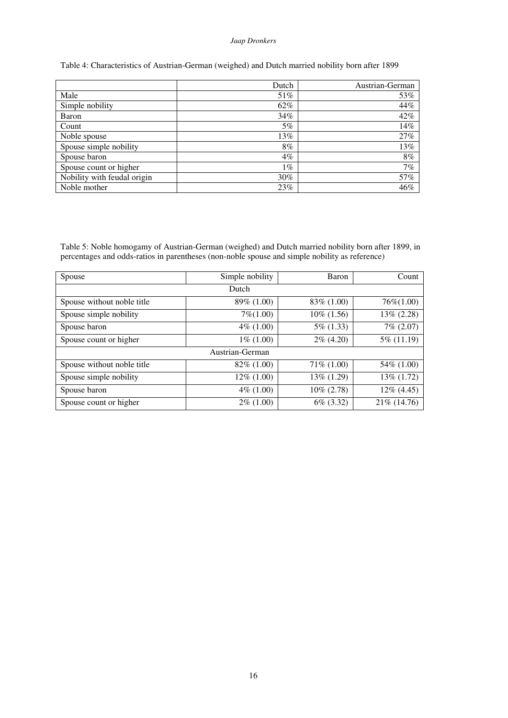#### *Jaap Dronkers*

#### Table 4: Characteristics of Austrian-German (weighed) and Dutch married nobility born after 1899

|                             | Dutch  | Austrian-German |
|-----------------------------|--------|-----------------|
| Male                        | 51%    | 53%             |
| Simple nobility             | 62%    | 44%             |
| Baron                       | 34%    | 42%             |
| Count                       | 5%     | 14%             |
| Noble spouse                | 13%    | 27%             |
| Spouse simple nobility      | 8%     | 13%             |
| Spouse baron                | $4\%$  | $8\%$           |
| Spouse count or higher      | 1%     | 7%              |
| Nobility with feudal origin | $30\%$ | 57%             |
| Noble mother                | 23%    | 46%             |

Table 5: Noble homogamy of Austrian-German (weighed) and Dutch married nobility born after 1899, in percentages and odds-ratios in parentheses (non-noble spouse and simple nobility as reference)

| Spouse                     | Simple nobility | Baron         | Count        |  |  |  |  |
|----------------------------|-----------------|---------------|--------------|--|--|--|--|
| Dutch                      |                 |               |              |  |  |  |  |
| Spouse without noble title | 89\% (1.00)     | 83\% (1.00)   | $76\%(1.00)$ |  |  |  |  |
| Spouse simple nobility     | $7\%/1.00$      | $10\%$ (1.56) | 13% (2.28)   |  |  |  |  |
| Spouse baron               | $4\%$ (1.00)    | $5\%$ (1.33)  | 7% (2.07)    |  |  |  |  |
| Spouse count or higher     | $1\%$ (1.00)    | $2\%$ (4.20)  | 5% (11.19)   |  |  |  |  |
| Austrian-German            |                 |               |              |  |  |  |  |
| Spouse without noble title | $82\%$ (1.00)   | 71\% (1.00)   | 54\% (1.00)  |  |  |  |  |
| Spouse simple nobility     | $12\%$ (1.00)   | 13\% (1.29)   | 13% (1.72)   |  |  |  |  |
| Spouse baron               | $4\%$ (1.00)    | $10\% (2.78)$ | 12% (4.45)   |  |  |  |  |
| Spouse count or higher     | $2\%$ (1.00)    | $6\%$ (3.32)  | 21% (14.76)  |  |  |  |  |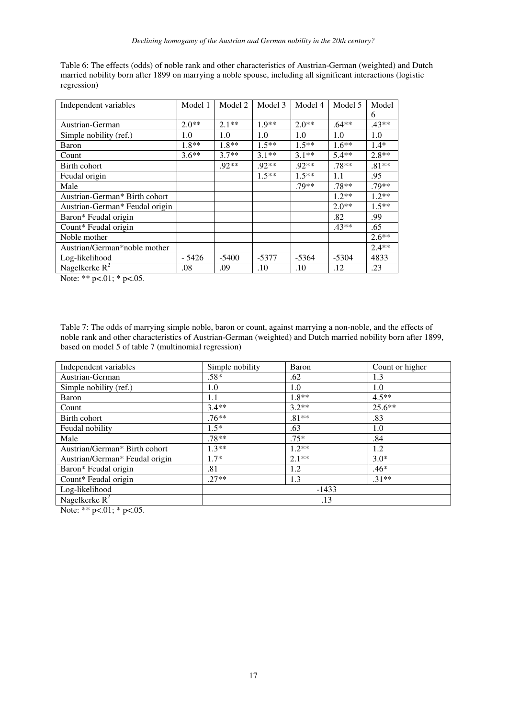| Independent variables          | Model 1 | Model 2 | Model 3 | Model 4 | Model 5 | Model   |
|--------------------------------|---------|---------|---------|---------|---------|---------|
|                                |         |         |         |         |         | 6       |
| Austrian-German                | $2.0**$ | $2.1**$ | $1.9**$ | $2.0**$ | $.64**$ | $.43**$ |
| Simple nobility (ref.)         | 1.0     | 1.0     | 1.0     | 1.0     | 1.0     | 1.0     |
| Baron                          | $1.8**$ | $1.8**$ | $1.5**$ | $1.5**$ | $1.6**$ | $1.4*$  |
| Count                          | $3.6**$ | $3.7**$ | $3.1**$ | $3.1**$ | $5.4**$ | $2.8**$ |
| Birth cohort                   |         | $.92**$ | $.92**$ | $.92**$ | $.78**$ | $.81**$ |
| Feudal origin                  |         |         | $1.5**$ | $1.5**$ | 1.1     | .95     |
| Male                           |         |         |         | .79**   | $.78**$ | .79**   |
| Austrian-German* Birth cohort  |         |         |         |         | $1.2**$ | $1.2**$ |
| Austrian-German* Feudal origin |         |         |         |         | $2.0**$ | $1.5**$ |
| Baron* Feudal origin           |         |         |         |         | .82     | .99     |
| Count* Feudal origin           |         |         |         |         | $.43**$ | .65     |
| Noble mother                   |         |         |         |         |         | $2.6**$ |
| Austrian/German*noble mother   |         |         |         |         |         | $2.4**$ |
| Log-likelihood                 | - 5426  | $-5400$ | $-5377$ | $-5364$ | $-5304$ | 4833    |
| Nagelkerke $R^2$               | .08     | .09     | .10     | .10     | .12     | .23     |

Table 6: The effects (odds) of noble rank and other characteristics of Austrian-German (weighted) and Dutch married nobility born after 1899 on marrying a noble spouse, including all significant interactions (logistic regression)

Note: \*\* p<.01; \* p<.05.

Table 7: The odds of marrying simple noble, baron or count, against marrying a non-noble, and the effects of noble rank and other characteristics of Austrian-German (weighted) and Dutch married nobility born after 1899, based on model 5 of table 7 (multinomial regression)

| Independent variables          | Simple nobility | Baron   | Count or higher |  |  |
|--------------------------------|-----------------|---------|-----------------|--|--|
| Austrian-German                | $.58*$          | .62     | 1.3             |  |  |
| Simple nobility (ref.)         | 1.0             | 1.0     | 1.0             |  |  |
| Baron                          | 1.1             | 1.8**   | $4.5**$         |  |  |
| Count                          | $3.4**$         | $3.2**$ | $25.6**$        |  |  |
| Birth cohort                   | $.76**$         | $.81**$ | .83             |  |  |
| Feudal nobility                | $1.5*$          | .63     | 1.0             |  |  |
| Male                           | $.78**$         | $.75*$  | .84             |  |  |
| Austrian/German* Birth cohort  | $1.3**$         | $1.2**$ | 1.2             |  |  |
| Austrian/German* Feudal origin | $1.7*$          | $2.1**$ | $3.0*$          |  |  |
| Baron* Feudal origin           | .81             | 1.2     | $.46*$          |  |  |
| Count* Feudal origin           | $.27**$         | 1.3     | $.31**$         |  |  |
| Log-likelihood                 | $-1433$         |         |                 |  |  |
| Nagelkerke $R^2$               | .13             |         |                 |  |  |

Note: \*\*  $p<.01$ ; \*  $p<.05$ .